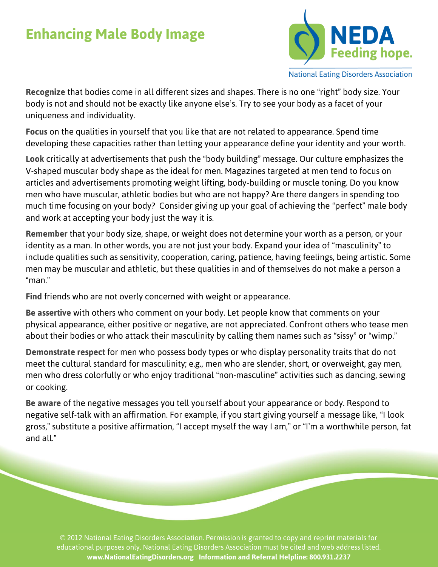## **Enhancing Male Body Image**



**National Eating Disorders Association** 

**Recognize** that bodies come in all different sizes and shapes. There is no one "right" body size. Your body is not and should not be exactly like anyone else's. Try to see your body as a facet of your uniqueness and individuality.

**Focus** on the qualities in yourself that you like that are not related to appearance. Spend time developing these capacities rather than letting your appearance define your identity and your worth.

**Look** critically at advertisements that push the "body building" message. Our culture emphasizes the V-shaped muscular body shape as the ideal for men. Magazines targeted at men tend to focus on articles and advertisements promoting weight lifting, body-building or muscle toning. Do you know men who have muscular, athletic bodies but who are not happy? Are there dangers in spending too much time focusing on your body? Consider giving up your goal of achieving the "perfect" male body and work at accepting your body just the way it is.

**Remember** that your body size, shape, or weight does not determine your worth as a person, or your identity as a man. In other words, you are not just your body. Expand your idea of "masculinity" to include qualities such as sensitivity, cooperation, caring, patience, having feelings, being artistic. Some men may be muscular and athletic, but these qualities in and of themselves do not make a person a "man."

**Find** friends who are not overly concerned with weight or appearance.

**Be assertive** with others who comment on your body. Let people know that comments on your physical appearance, either positive or negative, are not appreciated. Confront others who tease men about their bodies or who attack their masculinity by calling them names such as "sissy" or "wimp."

**Demonstrate respect** for men who possess body types or who display personality traits that do not meet the cultural standard for masculinity; e.g., men who are slender, short, or overweight, gay men, men who dress colorfully or who enjoy traditional "non-masculine" activities such as dancing, sewing or cooking.

**Be aware** of the negative messages you tell yourself about your appearance or body. Respond to negative self-talk with an affirmation. For example, if you start giving yourself a message like, "I look gross," substitute a positive affirmation, "I accept myself the way I am," or "I'm a worthwhile person, fat and all."

© 2012 National Eating Disorders Association. Permission is granted to copy and reprint materials for educational purposes only. National Eating Disorders Association must be cited and web address listed. **www.NationalEatingDisorders.org Information and Referral Helpline: 800.931.2237**